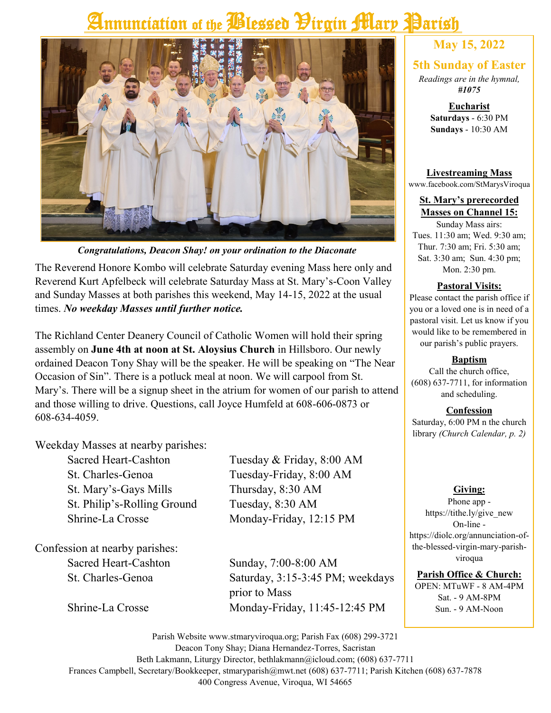# Annunciation of the *Plessed Pirgin Mary* Parish



*Congratulations, Deacon Shay! on your ordination to the Diaconate*

The Reverend Honore Kombo will celebrate Saturday evening Mass here only and Reverend Kurt Apfelbeck will celebrate Saturday Mass at St. Mary's-Coon Valley and Sunday Masses at both parishes this weekend, May 14-15, 2022 at the usual times. *No weekday Masses until further notice.*

The Richland Center Deanery Council of Catholic Women will hold their spring assembly on **June 4th at noon at St. Aloysius Church** in Hillsboro. Our newly ordained Deacon Tony Shay will be the speaker. He will be speaking on "The Near Occasion of Sin". There is a potluck meal at noon. We will carpool from St. Mary's. There will be a signup sheet in the atrium for women of our parish to attend and those willing to drive. Questions, call Joyce Humfeld at 608-606-0873 or 608-634-4059.

Weekday Masses at nearby parishes:

St. Charles-Genoa Tuesday-Friday, 8:00 AM St. Mary's-Gays Mills Thursday, 8:30 AM St. Philip's-Rolling Ground Tuesday, 8:30 AM Shrine-La Crosse Monday-Friday, 12:15 PM

Confession at nearby parishes:

Sacred Heart-Cashton Tuesday & Friday, 8:00 AM

Sacred Heart-Cashton Sunday, 7:00-8:00 AM St. Charles-Genoa Saturday, 3:15-3:45 PM; weekdays prior to Mass Shrine-La Crosse Monday-Friday, 11:45-12:45 PM

### **May 15, 2022**

### **5th Sunday of Easter**

*Readings are in the hymnal, #1075*

> **Eucharist Saturdays** - 6:30 PM **Sundays** - 10:30 AM

#### **Livestreaming Mass** www.facebook.com/StMarysViroqua

#### **St. Mary's prerecorded Masses on Channel 15:**

Sunday Mass airs: Tues. 11:30 am; Wed. 9:30 am; Thur. 7:30 am; Fri. 5:30 am; Sat. 3:30 am; Sun. 4:30 pm; Mon. 2:30 pm.

### **Pastoral Visits:**

Please contact the parish office if you or a loved one is in need of a pastoral visit. Let us know if you would like to be remembered in our parish's public prayers.

### **Baptism**

Call the church office, (608) 637-7711, for information and scheduling.

### **Confession**

Saturday, 6:00 PM n the church library *(Church Calendar, p. 2)*

### **Giving:**

Phone app https://tithe.ly/give\_new On-line https://diolc.org/annunciation-ofthe-blessed-virgin-mary-parishviroqua

**Parish Office & Church:**

OPEN: MTuWF - 8 AM-4PM Sat. - 9 AM-8PM Sun. - 9 AM-Noon

Parish Website www.stmaryviroqua.org; Parish Fax (608) 299-3721 Deacon Tony Shay; Diana Hernandez-Torres, Sacristan Beth Lakmann, Liturgy Director, bethlakmann@icloud.com; (608) 637-7711 Frances Campbell, Secretary/Bookkeeper, stmaryparish@mwt.net (608) 637-7711; Parish Kitchen (608) 637-7878 400 Congress Avenue, Viroqua, WI 54665